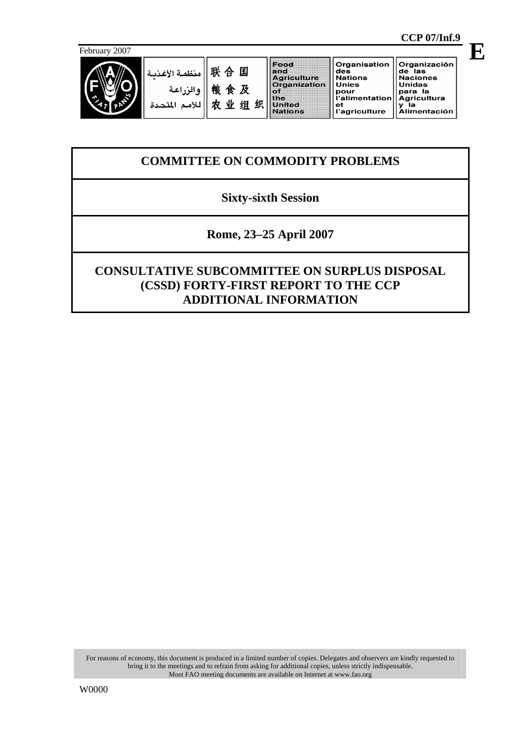

 $\bar{a}$ 

联合国 منظمة الأغذد 粮食及 والزراعة 农业组织 للأمم المتد

and<br>Agriculture<br>Organization  $\frac{5}{10}$ United **Nations** 

Food

Organisation **Crigamo**<br>**des<br>Mations**<br>**Unies** omes<br>pour<br>l'alimentation

l'agriculture

 $_{\rm et}$ 

Organización de las<br>Naciones Unidas para la para<br>Agricultura<br>y la<br>Alimentación

# **COMMITTEE ON COMMODITY PROBLEMS**

## **Sixty-sixth Session**

**Rome, 23–25 April 2007** 

# **CONSULTATIVE SUBCOMMITTEE ON SURPLUS DISPOSAL (CSSD) FORTY-FIRST REPORT TO THE CCP ADDITIONAL INFORMATION**

For reasons of economy, this document is produced in a limited number of copies. Delegates and observers are kindly requested to bring it to the meetings and to refrain from asking for additional copies, unless strictly indispensable. Most FAO meeting documents are available on Internet at www.fao.org

 **CCP 07/Inf.9** 

**E**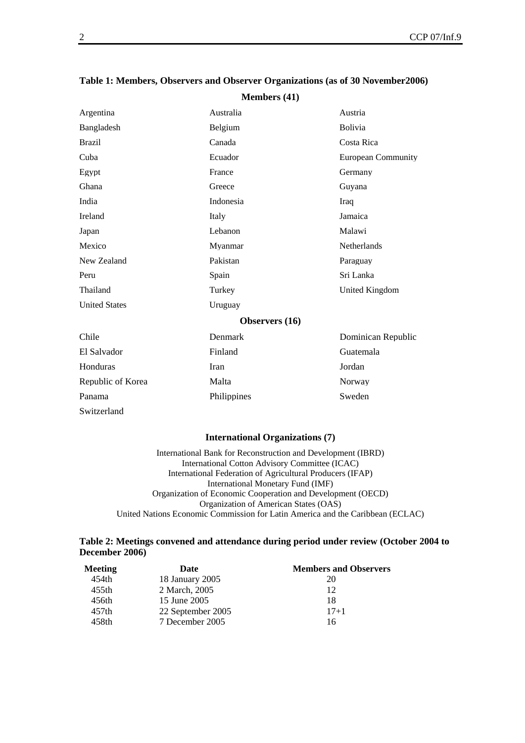|                      | $\cdots$       |                           |  |  |
|----------------------|----------------|---------------------------|--|--|
| Argentina            | Australia      | Austria                   |  |  |
| Bangladesh           | Belgium        | Bolivia                   |  |  |
| <b>Brazil</b>        | Canada         | Costa Rica                |  |  |
| Cuba                 | Ecuador        | <b>European Community</b> |  |  |
| Egypt                | France         | Germany                   |  |  |
| Ghana                | Greece         | Guyana                    |  |  |
| India                | Indonesia      | Iraq                      |  |  |
| Ireland              | Italy          | Jamaica                   |  |  |
| Japan                | Lebanon        | Malawi                    |  |  |
| Mexico               | Myanmar        | <b>Netherlands</b>        |  |  |
| New Zealand          | Pakistan       | Paraguay                  |  |  |
| Peru                 | Spain          | Sri Lanka                 |  |  |
| Thailand             | Turkey         | United Kingdom            |  |  |
| <b>United States</b> | Uruguay        |                           |  |  |
|                      | Observers (16) |                           |  |  |
| Chile                | Denmark        | Dominican Republic        |  |  |
| El Salvador          | Finland        | Guatemala                 |  |  |
| Honduras             | Iran           | Jordan                    |  |  |
| Republic of Korea    | Malta          | Norway                    |  |  |
| Panama               | Philippines    | Sweden                    |  |  |
| Switzerland          |                |                           |  |  |

### **Table 1: Members, Observers and Observer Organizations (as of 30 November2006) Members (41)**

#### **International Organizations (7)**

International Bank for Reconstruction and Development (IBRD) International Cotton Advisory Committee (ICAC) International Federation of Agricultural Producers (IFAP) International Monetary Fund (IMF) Organization of Economic Cooperation and Development (OECD) Organization of American States (OAS) United Nations Economic Commission for Latin America and the Caribbean (ECLAC)

#### **Table 2: Meetings convened and attendance during period under review (October 2004 to December 2006)**

| <b>Meeting</b> | Date              | <b>Members and Observers</b> |
|----------------|-------------------|------------------------------|
| 454th          | 18 January 2005   | 20                           |
| 455th          | 2 March, 2005     | 12                           |
| 456th          | 15 June 2005      | 18                           |
| 457th          | 22 September 2005 | $17 + 1$                     |
| 458th          | 7 December 2005   | 16                           |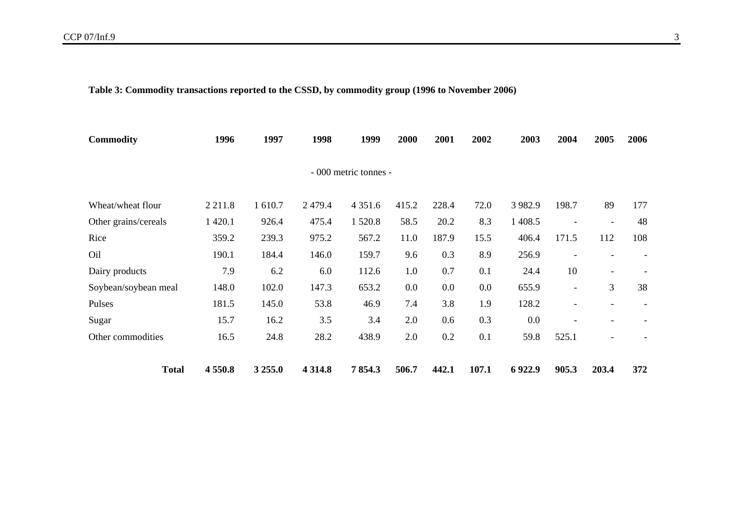**Table 3: Commodity transactions reported to the CSSD, by commodity group (1996 to November 2006)** 

| <b>Commodity</b>     | 1996        | 1997    | 1998       | 1999                  | 2000  | 2001  | 2002  | 2003      | 2004                     | 2005                     | 2006 |
|----------------------|-------------|---------|------------|-----------------------|-------|-------|-------|-----------|--------------------------|--------------------------|------|
|                      |             |         |            | - 000 metric tonnes - |       |       |       |           |                          |                          |      |
| Wheat/wheat flour    | 2 2 1 1.8   | 1 610.7 | 2479.4     | 4 3 5 1 .6            | 415.2 | 228.4 | 72.0  | 3 9 8 2.9 | 198.7                    | 89                       | 177  |
| Other grains/cereals | 1 4 2 0 . 1 | 926.4   | 475.4      | 1 5 2 0.8             | 58.5  | 20.2  | 8.3   | 1 408.5   | $\overline{\phantom{a}}$ | $\overline{\phantom{a}}$ | 48   |
| Rice                 | 359.2       | 239.3   | 975.2      | 567.2                 | 11.0  | 187.9 | 15.5  | 406.4     | 171.5                    | 112                      | 108  |
| O <sub>il</sub>      | 190.1       | 184.4   | 146.0      | 159.7                 | 9.6   | 0.3   | 8.9   | 256.9     | $\overline{\phantom{a}}$ | $\overline{\phantom{a}}$ |      |
| Dairy products       | 7.9         | 6.2     | 6.0        | 112.6                 | 1.0   | 0.7   | 0.1   | 24.4      | 10                       | $\overline{\phantom{a}}$ |      |
| Soybean/soybean meal | 148.0       | 102.0   | 147.3      | 653.2                 | 0.0   | 0.0   | 0.0   | 655.9     | $\overline{\phantom{a}}$ | 3                        | 38   |
| Pulses               | 181.5       | 145.0   | 53.8       | 46.9                  | 7.4   | 3.8   | 1.9   | 128.2     | $\overline{\phantom{a}}$ | $\overline{\phantom{a}}$ |      |
| Sugar                | 15.7        | 16.2    | 3.5        | 3.4                   | 2.0   | 0.6   | 0.3   | 0.0       | $\overline{\phantom{0}}$ | $\blacksquare$           |      |
| Other commodities    | 16.5        | 24.8    | 28.2       | 438.9                 | 2.0   | 0.2   | 0.1   | 59.8      | 525.1                    | $\overline{\phantom{a}}$ |      |
| <b>Total</b>         | 4 5 5 0 .8  | 3 255.0 | 4 3 1 4 .8 | 7854.3                | 506.7 | 442.1 | 107.1 | 6922.9    | 905.3                    | 203.4                    | 372  |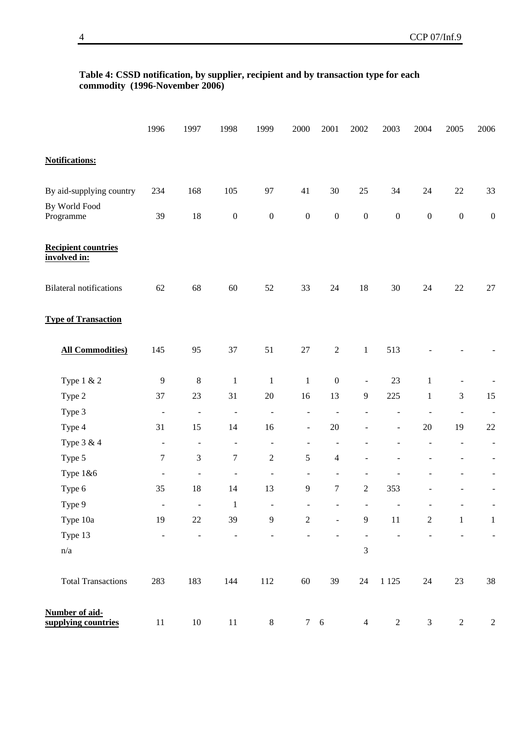### **Table 4: CSSD notification, by supplier, recipient and by transaction type for each commodity (1996-November 2006)**

|                                            | 1996             | 1997                     | 1998                     | 1999             | 2000                     | 2001             | 2002                     | 2003             | 2004                     | 2005                     | 2006                     |
|--------------------------------------------|------------------|--------------------------|--------------------------|------------------|--------------------------|------------------|--------------------------|------------------|--------------------------|--------------------------|--------------------------|
| <b>Notifications:</b>                      |                  |                          |                          |                  |                          |                  |                          |                  |                          |                          |                          |
| By aid-supplying country                   | 234              | 168                      | 105                      | 97               | 41                       | 30               | 25                       | 34               | 24                       | $22\,$                   | 33                       |
| By World Food                              |                  |                          |                          |                  |                          |                  |                          |                  |                          |                          |                          |
| Programme                                  | 39               | 18                       | $\boldsymbol{0}$         | $\boldsymbol{0}$ | $\boldsymbol{0}$         | $\boldsymbol{0}$ | $\boldsymbol{0}$         | $\boldsymbol{0}$ | $\boldsymbol{0}$         | $\boldsymbol{0}$         | $\boldsymbol{0}$         |
| <b>Recipient countries</b><br>involved in: |                  |                          |                          |                  |                          |                  |                          |                  |                          |                          |                          |
| <b>Bilateral notifications</b>             | 62               | 68                       | 60                       | 52               | 33                       | 24               | 18                       | 30               | 24                       | 22                       | 27                       |
| <b>Type of Transaction</b>                 |                  |                          |                          |                  |                          |                  |                          |                  |                          |                          |                          |
| <b>All Commodities)</b>                    | 145              | 95                       | 37                       | 51               | 27                       | $\sqrt{2}$       | $\mathbf{1}$             | 513              |                          |                          |                          |
| Type 1 & 2                                 | $\overline{9}$   | $\,8\,$                  | $\mathbf{1}$             | $\mathbf{1}$     | $\mathbf{1}$             | $\boldsymbol{0}$ | $\blacksquare$           | 23               | $\mathbf{1}$             |                          |                          |
| Type 2                                     | 37               | 23                       | 31                       | $20\,$           | 16                       | 13               | $\overline{9}$           | 225              | $\mathbf{1}$             | 3                        | 15                       |
| Type 3                                     | $\blacksquare$   | $\overline{\phantom{a}}$ | $\blacksquare$           | $\Box$           | $\blacksquare$           | $\overline{a}$   | $\overline{\phantom{a}}$ | ÷,               | $\overline{\phantom{m}}$ | $\overline{\phantom{a}}$ | $\blacksquare$           |
| Type 4                                     | 31               | 15                       | 14                       | 16               | $\blacksquare$           | $20\,$           | $\overline{\phantom{a}}$ | $\blacksquare$   | $20\,$                   | 19                       | $22\,$                   |
| Type 3 & 4                                 | $\frac{1}{2}$    | $\blacksquare$           | $\overline{\phantom{a}}$ | $\Box$           | ÷,                       | $\overline{a}$   |                          |                  | $\overline{\phantom{a}}$ | $\overline{\phantom{a}}$ | $\blacksquare$           |
| Type 5                                     | $\boldsymbol{7}$ | $\mathfrak{Z}$           | $\boldsymbol{7}$         | $\sqrt{2}$       | 5                        | $\overline{4}$   |                          |                  |                          |                          | $\blacksquare$           |
| Type 1&6                                   | $\blacksquare$   | $\overline{a}$           | $\blacksquare$           | ÷,               | $\overline{\phantom{a}}$ | $\blacksquare$   |                          |                  |                          |                          | $\overline{\phantom{a}}$ |
| Type 6                                     | 35               | 18                       | 14                       | 13               | 9                        | $\boldsymbol{7}$ | $\sqrt{2}$               | 353              |                          |                          | $\blacksquare$           |
| Type 9                                     | $\blacksquare$   | $\frac{1}{2}$            | $\mathbf{1}$             | ÷,               |                          |                  |                          |                  |                          |                          | $\overline{\phantom{a}}$ |
| Type 10a                                   | 19               | $22\,$                   | 39                       | 9                | $\overline{c}$           |                  | 9                        | 11               | $\overline{c}$           | $\mathbf{1}$             | $\mathbf{1}$             |
| Type 13                                    |                  |                          |                          |                  |                          |                  |                          |                  |                          |                          | $\blacksquare$           |
| n/a                                        |                  |                          |                          |                  |                          |                  | $\overline{3}$           |                  |                          |                          |                          |
| <b>Total Transactions</b>                  | 283              | 183                      | 144                      | 112              | 60                       | 39               | 24                       | 1 1 2 5          | 24                       | 23                       | $38\,$                   |
| Number of aid-<br>supplying countries      | $11\,$           | $10\,$                   | $11\,$                   | $8\,$            |                          | $7\quad 6$       | $\overline{4}$           | $\sqrt{2}$       | $\mathfrak{Z}$           | $\overline{2}$           | $\sqrt{2}$               |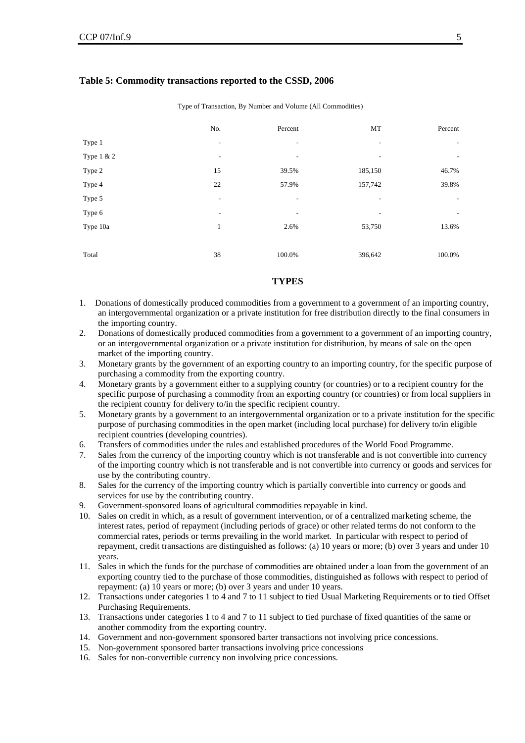| Type of Transaction, By Number and Volume (All Commodities) |     |                          |         |                          |  |  |  |  |  |
|-------------------------------------------------------------|-----|--------------------------|---------|--------------------------|--|--|--|--|--|
|                                                             | No. | Percent                  | MT      | Percent                  |  |  |  |  |  |
| Type 1                                                      | ٠   | ٠                        | ۰       | $\overline{\phantom{a}}$ |  |  |  |  |  |
| Type 1 & 2                                                  | ٠   | $\overline{\phantom{a}}$ | ۰       | $\overline{\phantom{a}}$ |  |  |  |  |  |
| Type 2                                                      | 15  | 39.5%                    | 185,150 | 46.7%                    |  |  |  |  |  |
| Type 4                                                      | 22  | 57.9%                    | 157,742 | 39.8%                    |  |  |  |  |  |
| Type 5                                                      | ٠   | ٠                        | ۰       | ۰.                       |  |  |  |  |  |
| Type 6                                                      |     | ۰                        |         | $\overline{\phantom{a}}$ |  |  |  |  |  |
| Type 10a                                                    | 1   | 2.6%                     | 53,750  | 13.6%                    |  |  |  |  |  |
|                                                             |     |                          |         |                          |  |  |  |  |  |
| Total                                                       | 38  | 100.0%                   | 396,642 | 100.0%                   |  |  |  |  |  |

#### **Table 5: Commodity transactions reported to the CSSD, 2006**

Type of Transaction, By Number and Volume (All Commodities)

#### **TYPES**

- 1. Donations of domestically produced commodities from a government to a government of an importing country, an intergovernmental organization or a private institution for free distribution directly to the final consumers in the importing country.
- 2. Donations of domestically produced commodities from a government to a government of an importing country, or an intergovernmental organization or a private institution for distribution, by means of sale on the open market of the importing country.
- 3. Monetary grants by the government of an exporting country to an importing country, for the specific purpose of purchasing a commodity from the exporting country.
- 4. Monetary grants by a government either to a supplying country (or countries) or to a recipient country for the specific purpose of purchasing a commodity from an exporting country (or countries) or from local suppliers in the recipient country for delivery to/in the specific recipient country.
- 5. Monetary grants by a government to an intergovernmental organization or to a private institution for the specific purpose of purchasing commodities in the open market (including local purchase) for delivery to/in eligible recipient countries (developing countries).
- 6. Transfers of commodities under the rules and established procedures of the World Food Programme.
- 7. Sales from the currency of the importing country which is not transferable and is not convertible into currency of the importing country which is not transferable and is not convertible into currency or goods and services for use by the contributing country.
- 8. Sales for the currency of the importing country which is partially convertible into currency or goods and services for use by the contributing country.
- 9. Government-sponsored loans of agricultural commodities repayable in kind.
- 10. Sales on credit in which, as a result of government intervention, or of a centralized marketing scheme, the interest rates, period of repayment (including periods of grace) or other related terms do not conform to the commercial rates, periods or terms prevailing in the world market. In particular with respect to period of repayment, credit transactions are distinguished as follows: (a) 10 years or more; (b) over 3 years and under 10 years.
- 11. Sales in which the funds for the purchase of commodities are obtained under a loan from the government of an exporting country tied to the purchase of those commodities, distinguished as follows with respect to period of repayment: (a) 10 years or more; (b) over 3 years and under 10 years.
- 12. Transactions under categories 1 to 4 and 7 to 11 subject to tied Usual Marketing Requirements or to tied Offset Purchasing Requirements.
- 13. Transactions under categories 1 to 4 and 7 to 11 subject to tied purchase of fixed quantities of the same or another commodity from the exporting country.
- 14. Government and non-government sponsored barter transactions not involving price concessions.
- 15. Non-government sponsored barter transactions involving price concessions
- 16. Sales for non-convertible currency non involving price concessions.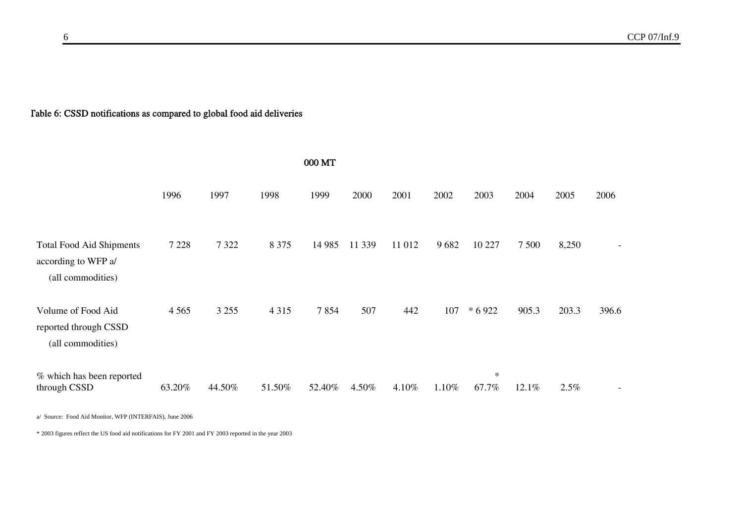### Table 6: CSSD notifications as compared to global food aid deliveries

| 000 MT                                                                      |         |         |         |         |        |        |       |                 |         |       |       |
|-----------------------------------------------------------------------------|---------|---------|---------|---------|--------|--------|-------|-----------------|---------|-------|-------|
|                                                                             | 1996    | 1997    | 1998    | 1999    | 2000   | 2001   | 2002  | 2003            | 2004    | 2005  | 2006  |
| <b>Total Food Aid Shipments</b><br>according to WFP a/<br>(all commodities) | 7 2 2 8 | 7 3 2 2 | 8 3 7 5 | 14 9 85 | 11 339 | 11 012 | 9682  | 10 227          | 7 5 0 0 | 8,250 |       |
| Volume of Food Aid<br>reported through CSSD<br>(all commodities)            | 4 5 6 5 | 3 2 5 5 | 4 3 1 5 | 7854    | 507    | 442    | 107   | * 6 9 22        | 905.3   | 203.3 | 396.6 |
| % which has been reported<br>through CSSD                                   | 63.20%  | 44.50%  | 51.50%  | 52.40%  | 4.50%  | 4.10%  | 1.10% | $\ast$<br>67.7% | 12.1%   | 2.5%  |       |

a/ Source: Food Aid Monitor, WFP (INTERFAIS), June 2006

\* 2003 figures reflect the US food aid notifications for FY 2001 and FY 2003 reported in the year 2003